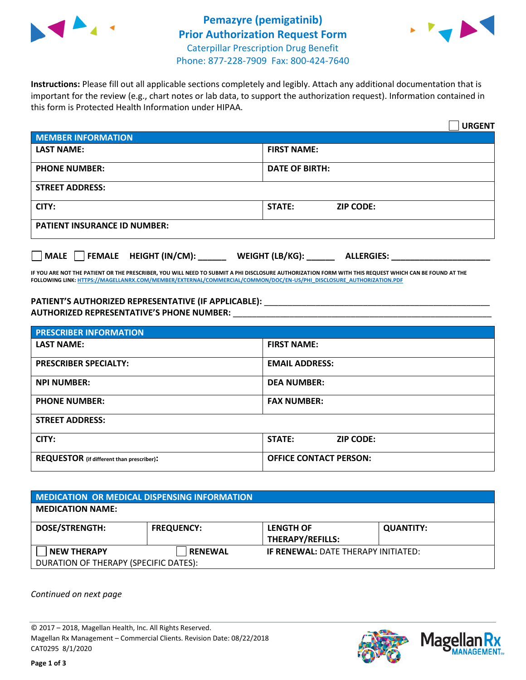



**Instructions:** Please fill out all applicable sections completely and legibly. Attach any additional documentation that is important for the review (e.g., chart notes or lab data, to support the authorization request). Information contained in this form is Protected Health Information under HIPAA.

|                                     | <b>URGENT</b>                        |  |  |  |
|-------------------------------------|--------------------------------------|--|--|--|
| <b>MEMBER INFORMATION</b>           |                                      |  |  |  |
| <b>LAST NAME:</b>                   | <b>FIRST NAME:</b>                   |  |  |  |
| <b>PHONE NUMBER:</b>                | <b>DATE OF BIRTH:</b>                |  |  |  |
| <b>STREET ADDRESS:</b>              |                                      |  |  |  |
| CITY:                               | <b>ZIP CODE:</b><br>STATE:           |  |  |  |
| <b>PATIENT INSURANCE ID NUMBER:</b> |                                      |  |  |  |
| FEMALE HEIGHT (IN/CM):<br>   MALE   | WEIGHT (LB/KG):<br><b>ALLERGIES:</b> |  |  |  |

**IF YOU ARE NOT THE PATIENT OR THE PRESCRIBER, YOU WILL NEED TO SUBMIT A PHI DISCLOSURE AUTHORIZATION FORM WITH THIS REQUEST WHICH CAN BE FOUND AT THE FOLLOWING LINK[: HTTPS://MAGELLANRX.COM/MEMBER/EXTERNAL/COMMERCIAL/COMMON/DOC/EN-US/PHI\\_DISCLOSURE\\_AUTHORIZATION.PDF](https://magellanrx.com/member/external/commercial/common/doc/en-us/PHI_Disclosure_Authorization.pdf)**

PATIENT'S AUTHORIZED REPRESENTATIVE (IF APPLICABLE): \_\_\_\_\_\_\_\_\_\_\_\_\_\_\_\_\_\_\_\_\_\_\_\_\_\_\_ **AUTHORIZED REPRESENTATIVE'S PHONE NUMBER:** \_\_\_\_\_\_\_\_\_\_\_\_\_\_\_\_\_\_\_\_\_\_\_\_\_\_\_\_\_\_\_\_\_\_\_\_\_\_\_\_\_\_\_\_\_\_\_\_\_\_\_\_\_\_\_

| <b>PRESCRIBER INFORMATION</b>             |                               |  |
|-------------------------------------------|-------------------------------|--|
| <b>LAST NAME:</b>                         | <b>FIRST NAME:</b>            |  |
| <b>PRESCRIBER SPECIALTY:</b>              | <b>EMAIL ADDRESS:</b>         |  |
| <b>NPI NUMBER:</b>                        | <b>DEA NUMBER:</b>            |  |
| <b>PHONE NUMBER:</b>                      | <b>FAX NUMBER:</b>            |  |
| <b>STREET ADDRESS:</b>                    |                               |  |
| CITY:                                     | STATE:<br><b>ZIP CODE:</b>    |  |
| REQUESTOR (if different than prescriber): | <b>OFFICE CONTACT PERSON:</b> |  |

| <b>MEDICATION OR MEDICAL DISPENSING INFORMATION</b> |                   |                                            |                  |  |
|-----------------------------------------------------|-------------------|--------------------------------------------|------------------|--|
| <b>MEDICATION NAME:</b>                             |                   |                                            |                  |  |
| <b>DOSE/STRENGTH:</b>                               | <b>FREQUENCY:</b> | <b>LENGTH OF</b>                           | <b>QUANTITY:</b> |  |
|                                                     |                   | <b>THERAPY/REFILLS:</b>                    |                  |  |
| <b>NEW THERAPY</b>                                  | <b>RENEWAL</b>    | <b>IF RENEWAL: DATE THERAPY INITIATED:</b> |                  |  |
| DURATION OF THERAPY (SPECIFIC DATES):               |                   |                                            |                  |  |

*Continued on next page*

© 2017 – 2018, Magellan Health, Inc. All Rights Reserved. Magellan Rx Management – Commercial Clients. Revision Date: 08/22/2018 CAT0295 8/1/2020



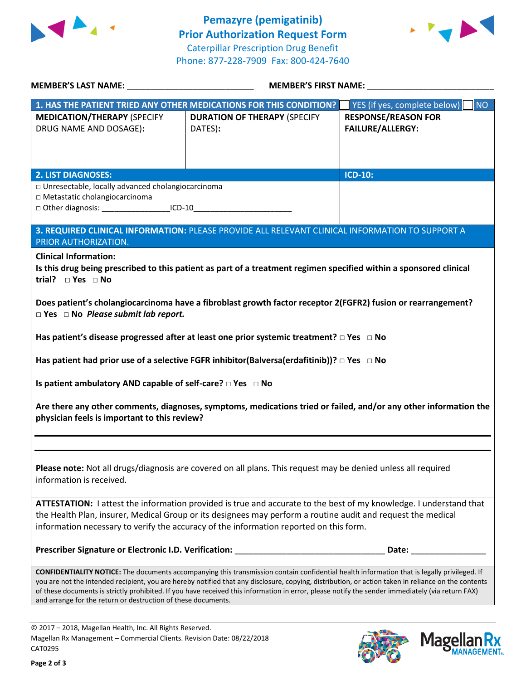



| MEMBER'S LAST NAME: _________________________________                                                                                                                                                  | <b>MEMBER'S FIRST NAME:</b>                                                                                                                                                                                                                                                                                                                                                                                                                                   |                                                       |  |  |  |
|--------------------------------------------------------------------------------------------------------------------------------------------------------------------------------------------------------|---------------------------------------------------------------------------------------------------------------------------------------------------------------------------------------------------------------------------------------------------------------------------------------------------------------------------------------------------------------------------------------------------------------------------------------------------------------|-------------------------------------------------------|--|--|--|
|                                                                                                                                                                                                        | 1. HAS THE PATIENT TRIED ANY OTHER MEDICATIONS FOR THIS CONDITION?                                                                                                                                                                                                                                                                                                                                                                                            | YES (if yes, complete below)<br><b>NO</b>             |  |  |  |
| <b>MEDICATION/THERAPY (SPECIFY</b><br>DRUG NAME AND DOSAGE):                                                                                                                                           | <b>DURATION OF THERAPY (SPECIFY</b><br>DATES):                                                                                                                                                                                                                                                                                                                                                                                                                | <b>RESPONSE/REASON FOR</b><br><b>FAILURE/ALLERGY:</b> |  |  |  |
|                                                                                                                                                                                                        |                                                                                                                                                                                                                                                                                                                                                                                                                                                               |                                                       |  |  |  |
| <b>2. LIST DIAGNOSES:</b><br>□ Unresectable, locally advanced cholangiocarcinoma<br>□ Metastatic cholangiocarcinoma<br>□ Other diagnosis: _________________________ICD-10_____________________________ |                                                                                                                                                                                                                                                                                                                                                                                                                                                               | <b>ICD-10:</b>                                        |  |  |  |
| 3. REQUIRED CLINICAL INFORMATION: PLEASE PROVIDE ALL RELEVANT CLINICAL INFORMATION TO SUPPORT A<br>PRIOR AUTHORIZATION.                                                                                |                                                                                                                                                                                                                                                                                                                                                                                                                                                               |                                                       |  |  |  |
| <b>Clinical Information:</b><br>trial? $\square$ Yes $\square$ No                                                                                                                                      | Is this drug being prescribed to this patient as part of a treatment regimen specified within a sponsored clinical                                                                                                                                                                                                                                                                                                                                            |                                                       |  |  |  |
| Does patient's cholangiocarcinoma have a fibroblast growth factor receptor 2(FGFR2) fusion or rearrangement?<br>$\Box$ Yes $\Box$ No Please submit lab report.                                         |                                                                                                                                                                                                                                                                                                                                                                                                                                                               |                                                       |  |  |  |
|                                                                                                                                                                                                        | Has patient's disease progressed after at least one prior systemic treatment? $\Box$ Yes $\Box$ No                                                                                                                                                                                                                                                                                                                                                            |                                                       |  |  |  |
| Has patient had prior use of a selective FGFR inhibitor(Balversa(erdafitinib))? □ Yes □ No                                                                                                             |                                                                                                                                                                                                                                                                                                                                                                                                                                                               |                                                       |  |  |  |
| Is patient ambulatory AND capable of self-care? $\Box$ Yes $\Box$ No                                                                                                                                   |                                                                                                                                                                                                                                                                                                                                                                                                                                                               |                                                       |  |  |  |
| Are there any other comments, diagnoses, symptoms, medications tried or failed, and/or any other information the<br>physician feels is important to this review?                                       |                                                                                                                                                                                                                                                                                                                                                                                                                                                               |                                                       |  |  |  |
|                                                                                                                                                                                                        |                                                                                                                                                                                                                                                                                                                                                                                                                                                               |                                                       |  |  |  |
| Please note: Not all drugs/diagnosis are covered on all plans. This request may be denied unless all required<br>information is received.                                                              |                                                                                                                                                                                                                                                                                                                                                                                                                                                               |                                                       |  |  |  |
|                                                                                                                                                                                                        | ATTESTATION: I attest the information provided is true and accurate to the best of my knowledge. I understand that<br>the Health Plan, insurer, Medical Group or its designees may perform a routine audit and request the medical<br>information necessary to verify the accuracy of the information reported on this form.                                                                                                                                  |                                                       |  |  |  |
| Prescriber Signature or Electronic I.D. Verification:                                                                                                                                                  |                                                                                                                                                                                                                                                                                                                                                                                                                                                               | Date:                                                 |  |  |  |
| and arrange for the return or destruction of these documents.                                                                                                                                          | <b>CONFIDENTIALITY NOTICE:</b> The documents accompanying this transmission contain confidential health information that is legally privileged. If<br>you are not the intended recipient, you are hereby notified that any disclosure, copying, distribution, or action taken in reliance on the contents<br>of these documents is strictly prohibited. If you have received this information in error, please notify the sender immediately (via return FAX) |                                                       |  |  |  |

© 2017 – 2018, Magellan Health, Inc. All Rights Reserved. Magellan Rx Management – Commercial Clients. Revision Date: 08/22/2018 CAT0295